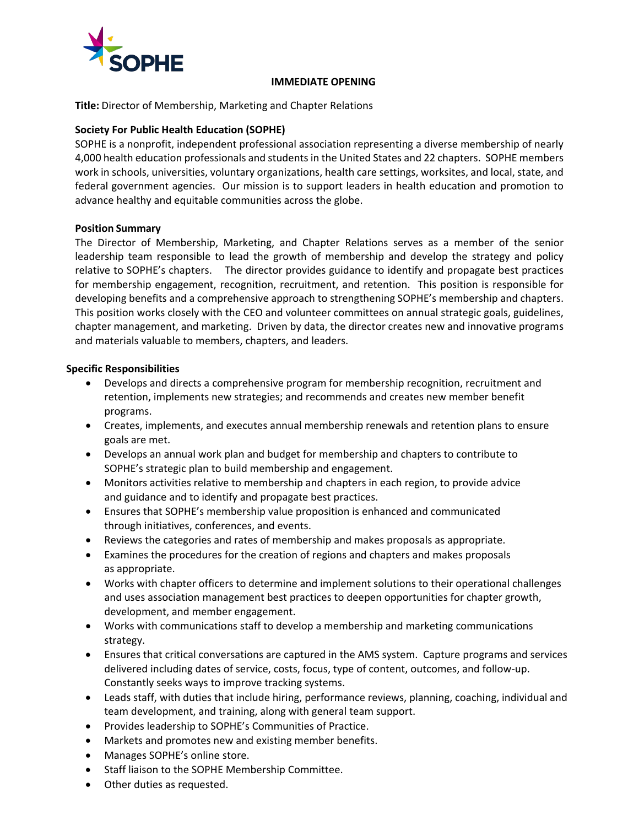

### **IMMEDIATE OPENING**

**Title:** Director of Membership, Marketing and Chapter Relations

# **Society For Public Health Education (SOPHE)**

SOPHE is a nonprofit, independent professional association representing a diverse membership of nearly 4,000 health education professionals and students in the United States and 22 chapters. SOPHE members work in schools, universities, voluntary organizations, health care settings, worksites, and local, state, and federal government agencies. Our mission is to support leaders in health education and promotion to advance healthy and equitable communities across the globe.

# **Position Summary**

The Director of Membership, Marketing, and Chapter Relations serves as a member of the senior leadership team responsible to lead the growth of membership and develop the strategy and policy relative to SOPHE's chapters. The director provides guidance to identify and propagate best practices for membership engagement, recognition, recruitment, and retention. This position is responsible for developing benefits and a comprehensive approach to strengthening SOPHE's membership and chapters. This position works closely with the CEO and volunteer committees on annual strategic goals, guidelines, chapter management, and marketing. Driven by data, the director creates new and innovative programs and materials valuable to members, chapters, and leaders.

# **Specific Responsibilities**

- Develops and directs a comprehensive program for membership recognition, recruitment and retention, implements new strategies; and recommends and creates new member benefit programs.
- Creates, implements, and executes annual membership renewals and retention plans to ensure goals are met.
- Develops an annual work plan and budget for membership and chapters to contribute to SOPHE's strategic plan to build membership and engagement.
- Monitors activities relative to membership and chapters in each region, to provide advice and guidance and to identify and propagate best practices.
- Ensures that SOPHE's membership value proposition is enhanced and communicated through initiatives, conferences, and events.
- Reviews the categories and rates of membership and makes proposals as appropriate.
- Examines the procedures for the creation of regions and chapters and makes proposals as appropriate.
- Works with chapter officers to determine and implement solutions to their operational challenges and uses association management best practices to deepen opportunities for chapter growth, development, and member engagement.
- Works with communications staff to develop a membership and marketing communications strategy.
- Ensures that critical conversations are captured in the AMS system. Capture programs and services delivered including dates of service, costs, focus, type of content, outcomes, and follow-up. Constantly seeks ways to improve tracking systems.
- Leads staff, with duties that include hiring, performance reviews, planning, coaching, individual and team development, and training, along with general team support.
- Provides leadership to SOPHE's Communities of Practice.
- Markets and promotes new and existing member benefits.
- Manages SOPHE's online store.
- Staff liaison to the SOPHE Membership Committee.
- Other duties as requested.